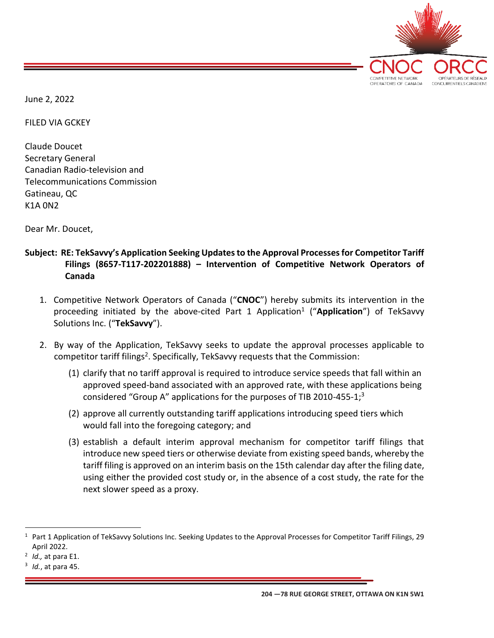

June 2, 2022

FILED VIA GCKEY

Claude Doucet Secretary General Canadian Radio-television and Telecommunications Commission Gatineau, QC K1A 0N2

Dear Mr. Doucet,

## **Subject: RE: TekSavvy's Application Seeking Updates to the Approval Processes for Competitor Tariff Filings (8657-T117-202201888) – Intervention of Competitive Network Operators of Canada**

- 1. Competitive Network Operators of Canada ("**CNOC**") hereby submits its intervention in the proceeding initiated by the above-cited Part 1 Application<sup>1</sup> ("Application") of TekSavvy Solutions Inc. ("**TekSavvy**").
- 2. By way of the Application, TekSavvy seeks to update the approval processes applicable to competitor tariff filings<sup>2</sup>. Specifically, TekSavvy requests that the Commission:
	- (1) clarify that no tariff approval is required to introduce service speeds that fall within an approved speed-band associated with an approved rate, with these applications being considered "Group A" applications for the purposes of TIB 2010-455-1; $3$
	- (2) approve all currently outstanding tariff applications introducing speed tiers which would fall into the foregoing category; and
	- (3) establish a default interim approval mechanism for competitor tariff filings that introduce new speed tiers or otherwise deviate from existing speed bands, whereby the tariff filing is approved on an interim basis on the 15th calendar day after the filing date, using either the provided cost study or, in the absence of a cost study, the rate for the next slower speed as a proxy.

<sup>1</sup> Part 1 Application of TekSavvy Solutions Inc. Seeking Updates to the Approval Processes for Competitor Tariff Filings, 29 April 2022.

<sup>2</sup> *Id.,* at para E1.

<sup>3</sup> *Id.*, at para 45.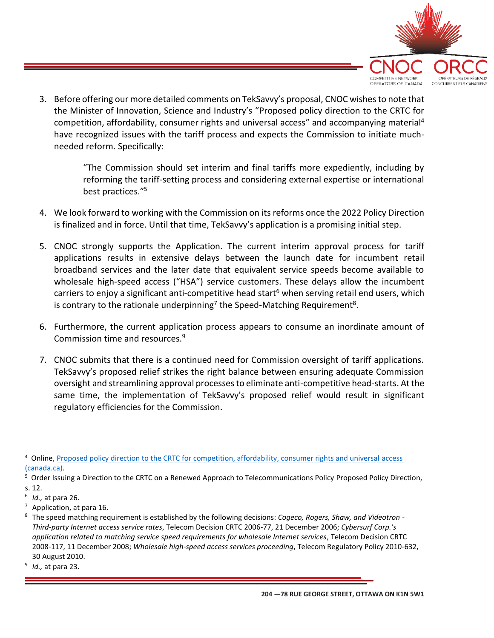

3. Before offering our more detailed comments on TekSavvy's proposal, CNOC wishes to note that the Minister of Innovation, Science and Industry's "Proposed policy direction to the CRTC for competition, affordability, consumer rights and universal access" and accompanying material<sup>4</sup> have recognized issues with the tariff process and expects the Commission to initiate muchneeded reform. Specifically:

> "The Commission should set interim and final tariffs more expediently, including by reforming the tariff-setting process and considering external expertise or international best practices." 5

- 4. We look forward to working with the Commission on its reforms once the 2022 Policy Direction is finalized and in force. Until that time, TekSavvy's application is a promising initial step.
- 5. CNOC strongly supports the Application. The current interim approval process for tariff applications results in extensive delays between the launch date for incumbent retail broadband services and the later date that equivalent service speeds become available to wholesale high-speed access ("HSA") service customers. These delays allow the incumbent carriers to enjoy a significant anti-competitive head start<sup>6</sup> when serving retail end users, which is contrary to the rationale underpinning<sup>7</sup> the Speed-Matching Requirement<sup>8</sup>.
- 6. Furthermore, the current application process appears to consume an inordinate amount of Commission time and resources.<sup>9</sup>
- 7. CNOC submits that there is a continued need for Commission oversight of tariff applications. TekSavvy's proposed relief strikes the right balance between ensuring adequate Commission oversight and streamlining approval processes to eliminate anti-competitive head-starts. At the same time, the implementation of TekSavvy's proposed relief would result in significant regulatory efficiencies for the Commission.

<sup>4</sup> Online, [Proposed policy direction to the CRTC for competition, affordability, consumer rights and universal](https://ised-isde.canada.ca/site/mobile-plans/en/proposed-policy-direction-crtc-competition-affordability-consumer-rights-and-universal-access) access [\(canada.ca\).](https://ised-isde.canada.ca/site/mobile-plans/en/proposed-policy-direction-crtc-competition-affordability-consumer-rights-and-universal-access)

<sup>&</sup>lt;sup>5</sup> Order Issuing a Direction to the CRTC on a Renewed Approach to Telecommunications Policy Proposed Policy Direction, s. 12.

<sup>6</sup> *Id.,* at para 26.

 $7$  Application, at para 16.

<sup>8</sup> The speed matching requirement is established by the following decisions: *Cogeco, Rogers, Shaw, and Videotron - Third-party Internet access service rates*, Telecom Decision CRTC 2006-77, 21 December 2006; *Cybersurf Corp.'s application related to matching service speed requirements for wholesale Internet services*, Telecom Decision CRTC 2008-117, 11 December 2008; *Wholesale high-speed access services proceeding*, Telecom Regulatory Policy 2010-632, 30 August 2010.

<sup>9</sup> *Id.,* at para 23.